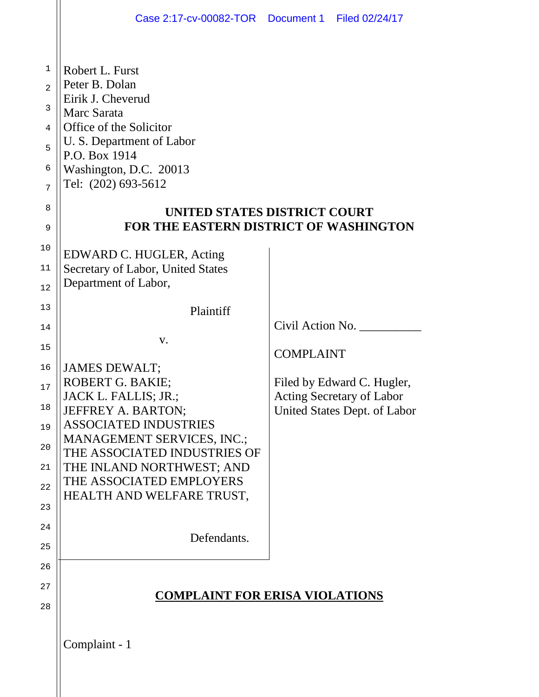|                                                        | Case 2:17-cv-00082-TOR  Document 1  Filed 02/24/17                                                                                                                                                                                                                               |                                                                  |                                                |  |
|--------------------------------------------------------|----------------------------------------------------------------------------------------------------------------------------------------------------------------------------------------------------------------------------------------------------------------------------------|------------------------------------------------------------------|------------------------------------------------|--|
| 1<br>$\overline{a}$<br>3<br>4<br>5<br>6<br>7<br>8<br>9 | Robert L. Furst<br>Peter B. Dolan<br>Eirik J. Cheverud<br>Marc Sarata<br>Office of the Solicitor<br>U. S. Department of Labor<br>P.O. Box 1914<br>Washington, D.C. 20013<br>Tel: (202) 693-5612<br>UNITED STATES DISTRICT COURT<br><b>FOR THE EASTERN DISTRICT OF WASHINGTON</b> |                                                                  |                                                |  |
| 10<br>$11\,$<br>12                                     | EDWARD C. HUGLER, Acting<br>Secretary of Labor, United States<br>Department of Labor,                                                                                                                                                                                            |                                                                  |                                                |  |
| 13<br>14<br>15<br>16<br>17                             | Plaintiff<br>V.<br><b>JAMES DEWALT;</b><br>ROBERT G. BAKIE;<br>JACK L. FALLIS; JR.;                                                                                                                                                                                              | <b>COMPLAINT</b>                                                 | Civil Action No.<br>Filed by Edward C. Hugler, |  |
| 18<br>19<br>20<br>21<br>22<br>23                       | <b>JEFFREY A. BARTON;</b><br><b>ASSOCIATED INDUSTRIES</b><br>MANAGEMENT SERVICES, INC.;<br>THE ASSOCIATED INDUSTRIES OF<br>THE INLAND NORTHWEST; AND<br>THE ASSOCIATED EMPLOYERS<br>HEALTH AND WELFARE TRUST,                                                                    | <b>Acting Secretary of Labor</b><br>United States Dept. of Labor |                                                |  |
| 24<br>25                                               | Defendants.                                                                                                                                                                                                                                                                      |                                                                  |                                                |  |
| 26<br>27<br>28                                         | <b>COMPLAINT FOR ERISA VIOLATIONS</b>                                                                                                                                                                                                                                            |                                                                  |                                                |  |
|                                                        | Complaint - 1                                                                                                                                                                                                                                                                    |                                                                  |                                                |  |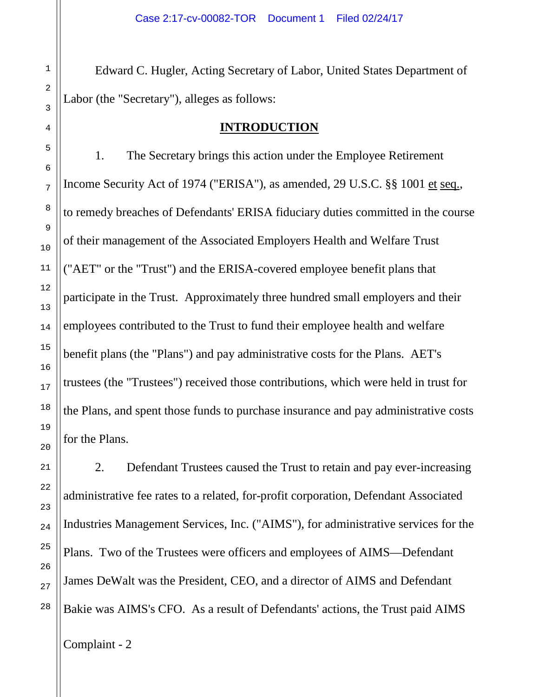Edward C. Hugler, Acting Secretary of Labor, United States Department of Labor (the "Secretary"), alleges as follows:

#### **INTRODUCTION**

1. The Secretary brings this action under the Employee Retirement Income Security Act of 1974 ("ERISA"), as amended, 29 U.S.C. §§ 1001 et seq., to remedy breaches of Defendants' ERISA fiduciary duties committed in the course of their management of the Associated Employers Health and Welfare Trust ("AET" or the "Trust") and the ERISA-covered employee benefit plans that participate in the Trust. Approximately three hundred small employers and their employees contributed to the Trust to fund their employee health and welfare benefit plans (the "Plans") and pay administrative costs for the Plans. AET's trustees (the "Trustees") received those contributions, which were held in trust for the Plans, and spent those funds to purchase insurance and pay administrative costs for the Plans.

2. Defendant Trustees caused the Trust to retain and pay ever-increasing administrative fee rates to a related, for-profit corporation, Defendant Associated Industries Management Services, Inc. ("AIMS"), for administrative services for the Plans. Two of the Trustees were officers and employees of AIMS—Defendant James DeWalt was the President, CEO, and a director of AIMS and Defendant Bakie was AIMS's CFO. As a result of Defendants' actions, the Trust paid AIMS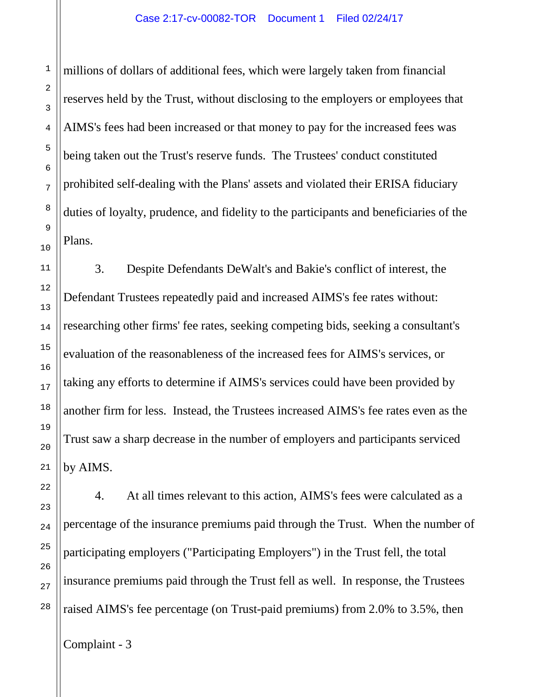millions of dollars of additional fees, which were largely taken from financial reserves held by the Trust, without disclosing to the employers or employees that AIMS's fees had been increased or that money to pay for the increased fees was being taken out the Trust's reserve funds. The Trustees' conduct constituted prohibited self-dealing with the Plans' assets and violated their ERISA fiduciary duties of loyalty, prudence, and fidelity to the participants and beneficiaries of the Plans.

3. Despite Defendants DeWalt's and Bakie's conflict of interest, the Defendant Trustees repeatedly paid and increased AIMS's fee rates without: researching other firms' fee rates, seeking competing bids, seeking a consultant's evaluation of the reasonableness of the increased fees for AIMS's services, or taking any efforts to determine if AIMS's services could have been provided by another firm for less. Instead, the Trustees increased AIMS's fee rates even as the Trust saw a sharp decrease in the number of employers and participants serviced by AIMS.

4. At all times relevant to this action, AIMS's fees were calculated as a percentage of the insurance premiums paid through the Trust. When the number of participating employers ("Participating Employers") in the Trust fell, the total insurance premiums paid through the Trust fell as well. In response, the Trustees raised AIMS's fee percentage (on Trust-paid premiums) from 2.0% to 3.5%, then

Complaint - 3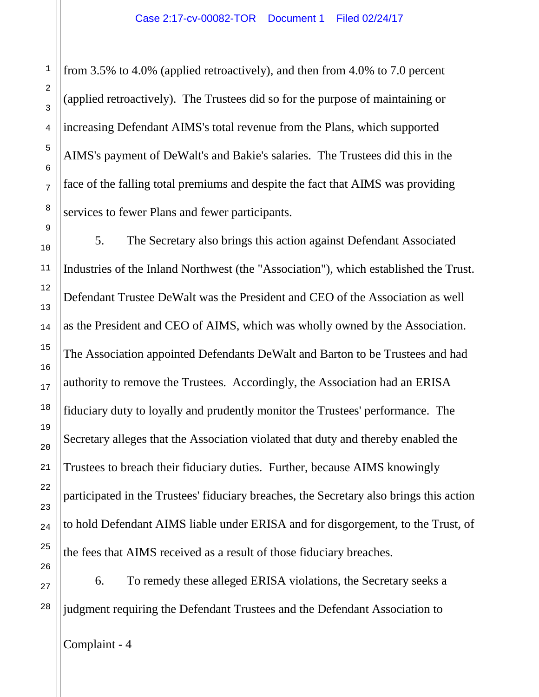from 3.5% to 4.0% (applied retroactively), and then from 4.0% to 7.0 percent (applied retroactively). The Trustees did so for the purpose of maintaining or increasing Defendant AIMS's total revenue from the Plans, which supported AIMS's payment of DeWalt's and Bakie's salaries. The Trustees did this in the face of the falling total premiums and despite the fact that AIMS was providing services to fewer Plans and fewer participants.

5. The Secretary also brings this action against Defendant Associated Industries of the Inland Northwest (the "Association"), which established the Trust. Defendant Trustee DeWalt was the President and CEO of the Association as well as the President and CEO of AIMS, which was wholly owned by the Association. The Association appointed Defendants DeWalt and Barton to be Trustees and had authority to remove the Trustees. Accordingly, the Association had an ERISA fiduciary duty to loyally and prudently monitor the Trustees' performance. The Secretary alleges that the Association violated that duty and thereby enabled the Trustees to breach their fiduciary duties. Further, because AIMS knowingly participated in the Trustees' fiduciary breaches, the Secretary also brings this action to hold Defendant AIMS liable under ERISA and for disgorgement, to the Trust, of the fees that AIMS received as a result of those fiduciary breaches.

6. To remedy these alleged ERISA violations, the Secretary seeks a judgment requiring the Defendant Trustees and the Defendant Association to

Complaint - 4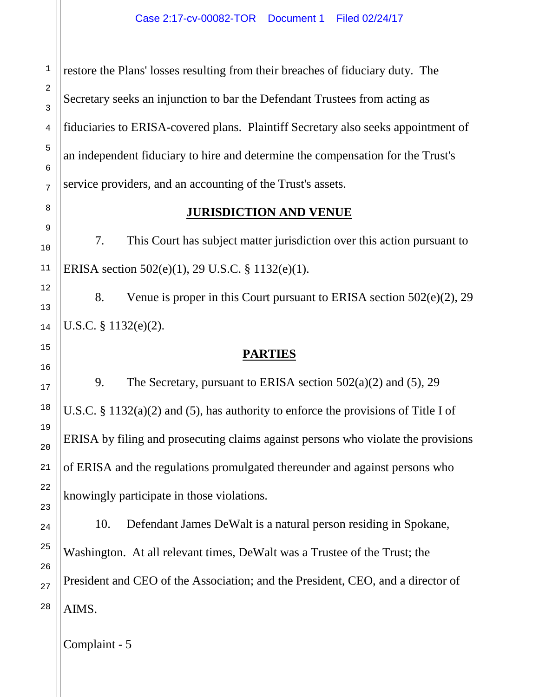restore the Plans' losses resulting from their breaches of fiduciary duty. The Secretary seeks an injunction to bar the Defendant Trustees from acting as fiduciaries to ERISA-covered plans. Plaintiff Secretary also seeks appointment of an independent fiduciary to hire and determine the compensation for the Trust's service providers, and an accounting of the Trust's assets.

## **JURISDICTION AND VENUE**

7. This Court has subject matter jurisdiction over this action pursuant to ERISA section 502(e)(1), 29 U.S.C. § 1132(e)(1).

8. Venue is proper in this Court pursuant to ERISA section 502(e)(2), 29 U.S.C. § 1132(e)(2).

## **PARTIES**

9. The Secretary, pursuant to ERISA section  $502(a)(2)$  and  $(5)$ , 29 U.S.C. § 1132(a)(2) and (5), has authority to enforce the provisions of Title I of ERISA by filing and prosecuting claims against persons who violate the provisions of ERISA and the regulations promulgated thereunder and against persons who knowingly participate in those violations.

10. Defendant James DeWalt is a natural person residing in Spokane, Washington. At all relevant times, DeWalt was a Trustee of the Trust; the President and CEO of the Association; and the President, CEO, and a director of AIMS.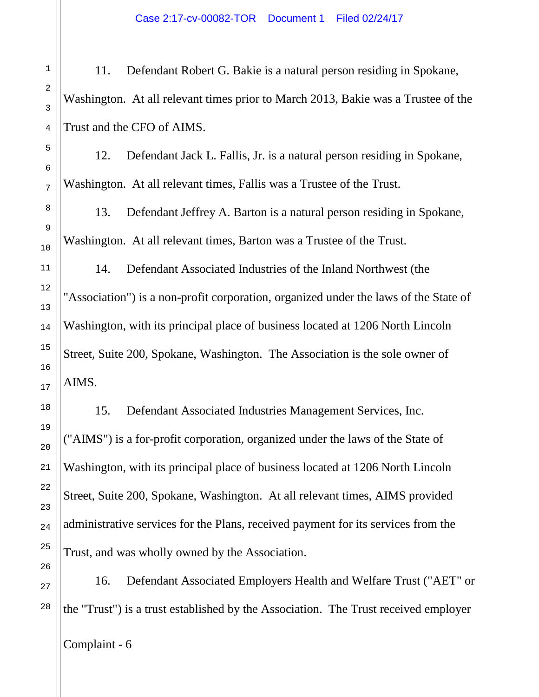Case 2:17-cv-00082-TOR Document 1 Filed 02/24/17

11. Defendant Robert G. Bakie is a natural person residing in Spokane, Washington. At all relevant times prior to March 2013, Bakie was a Trustee of the Trust and the CFO of AIMS.

12. Defendant Jack L. Fallis, Jr. is a natural person residing in Spokane, Washington. At all relevant times, Fallis was a Trustee of the Trust.

13. Defendant Jeffrey A. Barton is a natural person residing in Spokane, Washington. At all relevant times, Barton was a Trustee of the Trust.

14. Defendant Associated Industries of the Inland Northwest (the "Association") is a non-profit corporation, organized under the laws of the State of Washington, with its principal place of business located at 1206 North Lincoln Street, Suite 200, Spokane, Washington. The Association is the sole owner of AIMS.

15. Defendant Associated Industries Management Services, Inc. ("AIMS") is a for-profit corporation, organized under the laws of the State of Washington, with its principal place of business located at 1206 North Lincoln Street, Suite 200, Spokane, Washington. At all relevant times, AIMS provided administrative services for the Plans, received payment for its services from the Trust, and was wholly owned by the Association.

16. Defendant Associated Employers Health and Welfare Trust ("AET" or the "Trust") is a trust established by the Association. The Trust received employer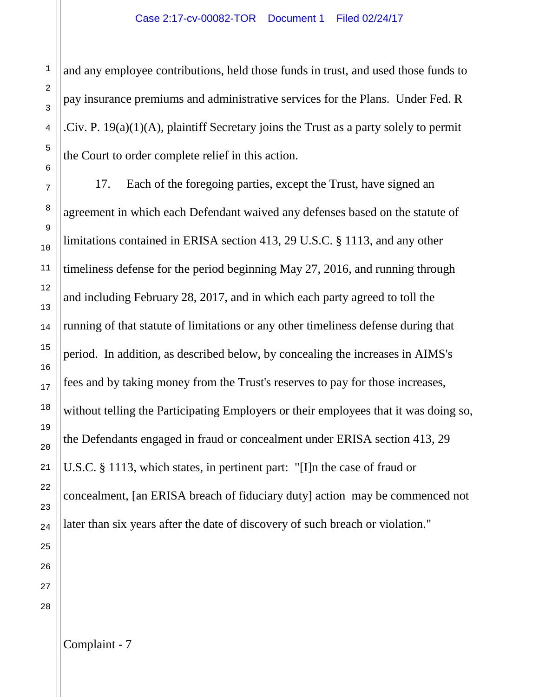and any employee contributions, held those funds in trust, and used those funds to pay insurance premiums and administrative services for the Plans. Under Fed. R .Civ. P. 19(a)(1)(A), plaintiff Secretary joins the Trust as a party solely to permit the Court to order complete relief in this action.

17. Each of the foregoing parties, except the Trust, have signed an agreement in which each Defendant waived any defenses based on the statute of limitations contained in ERISA section 413, 29 U.S.C. § 1113, and any other timeliness defense for the period beginning May 27, 2016, and running through and including February 28, 2017, and in which each party agreed to toll the running of that statute of limitations or any other timeliness defense during that period. In addition, as described below, by concealing the increases in AIMS's fees and by taking money from the Trust's reserves to pay for those increases, without telling the Participating Employers or their employees that it was doing so, the Defendants engaged in fraud or concealment under ERISA section 413, 29 U.S.C. § 1113, which states, in pertinent part: "[I]n the case of fraud or concealment, [an ERISA breach of fiduciary duty] action may be commenced not later than six years after the date of discovery of such breach or violation."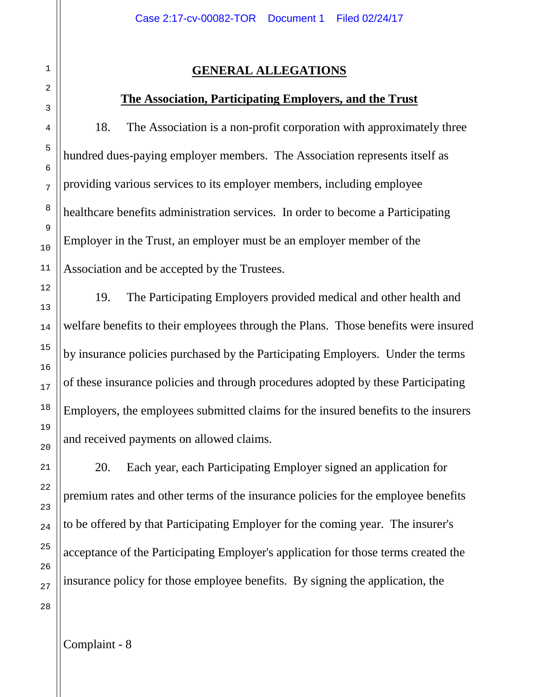# **GENERAL ALLEGATIONS**

## **The Association, Participating Employers, and the Trust**

18. The Association is a non-profit corporation with approximately three hundred dues-paying employer members. The Association represents itself as providing various services to its employer members, including employee healthcare benefits administration services. In order to become a Participating Employer in the Trust, an employer must be an employer member of the Association and be accepted by the Trustees.

19. The Participating Employers provided medical and other health and welfare benefits to their employees through the Plans. Those benefits were insured by insurance policies purchased by the Participating Employers. Under the terms of these insurance policies and through procedures adopted by these Participating Employers, the employees submitted claims for the insured benefits to the insurers and received payments on allowed claims.

20. Each year, each Participating Employer signed an application for premium rates and other terms of the insurance policies for the employee benefits to be offered by that Participating Employer for the coming year. The insurer's acceptance of the Participating Employer's application for those terms created the insurance policy for those employee benefits. By signing the application, the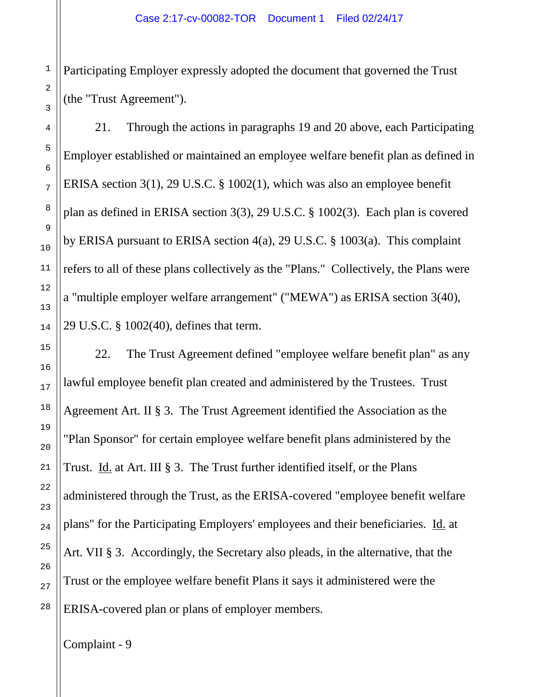Participating Employer expressly adopted the document that governed the Trust (the "Trust Agreement").

21. Through the actions in paragraphs 19 and 20 above, each Participating Employer established or maintained an employee welfare benefit plan as defined in ERISA section 3(1), 29 U.S.C. § 1002(1), which was also an employee benefit plan as defined in ERISA section 3(3), 29 U.S.C. § 1002(3). Each plan is covered by ERISA pursuant to ERISA section 4(a), 29 U.S.C. § 1003(a). This complaint refers to all of these plans collectively as the "Plans." Collectively, the Plans were a "multiple employer welfare arrangement" ("MEWA") as ERISA section 3(40), 29 U.S.C. § 1002(40), defines that term.

22. The Trust Agreement defined "employee welfare benefit plan" as any lawful employee benefit plan created and administered by the Trustees. Trust Agreement Art. II § 3. The Trust Agreement identified the Association as the "Plan Sponsor" for certain employee welfare benefit plans administered by the Trust. Id. at Art. III § 3. The Trust further identified itself, or the Plans administered through the Trust, as the ERISA-covered "employee benefit welfare plans" for the Participating Employers' employees and their beneficiaries. Id. at Art. VII § 3. Accordingly, the Secretary also pleads, in the alternative, that the Trust or the employee welfare benefit Plans it says it administered were the ERISA-covered plan or plans of employer members.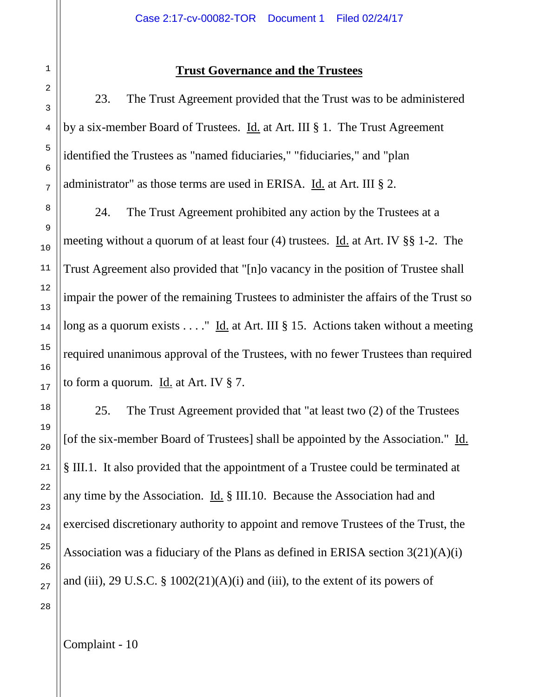#### **Trust Governance and the Trustees**

23. The Trust Agreement provided that the Trust was to be administered by a six-member Board of Trustees. Id. at Art. III § 1. The Trust Agreement identified the Trustees as "named fiduciaries," "fiduciaries," and "plan administrator" as those terms are used in ERISA. Id. at Art. III § 2.

24. The Trust Agreement prohibited any action by the Trustees at a meeting without a quorum of at least four (4) trustees. Id. at Art. IV §§ 1-2. The Trust Agreement also provided that "[n]o vacancy in the position of Trustee shall impair the power of the remaining Trustees to administer the affairs of the Trust so long as a quorum exists . . . . " Id. at Art. III § 15. Actions taken without a meeting required unanimous approval of the Trustees, with no fewer Trustees than required to form a quorum. Id. at Art. IV § 7.

25. The Trust Agreement provided that "at least two (2) of the Trustees [of the six-member Board of Trustees] shall be appointed by the Association." Id. § III.1. It also provided that the appointment of a Trustee could be terminated at any time by the Association. Id. § III.10. Because the Association had and exercised discretionary authority to appoint and remove Trustees of the Trust, the Association was a fiduciary of the Plans as defined in ERISA section 3(21)(A)(i) and (iii), 29 U.S.C.  $\S$  1002(21)(A)(i) and (iii), to the extent of its powers of

1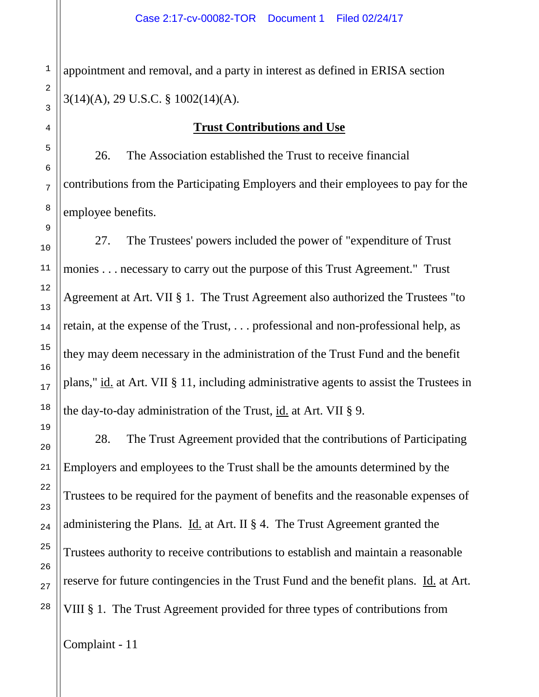appointment and removal, and a party in interest as defined in ERISA section 3(14)(A), 29 U.S.C. § 1002(14)(A).

## **Trust Contributions and Use**

26. The Association established the Trust to receive financial contributions from the Participating Employers and their employees to pay for the employee benefits.

27. The Trustees' powers included the power of "expenditure of Trust monies . . . necessary to carry out the purpose of this Trust Agreement." Trust Agreement at Art. VII § 1. The Trust Agreement also authorized the Trustees "to retain, at the expense of the Trust, . . . professional and non-professional help, as they may deem necessary in the administration of the Trust Fund and the benefit plans," id. at Art. VII § 11, including administrative agents to assist the Trustees in the day-to-day administration of the Trust, id. at Art. VII § 9.

28. The Trust Agreement provided that the contributions of Participating Employers and employees to the Trust shall be the amounts determined by the Trustees to be required for the payment of benefits and the reasonable expenses of administering the Plans. Id. at Art. II § 4. The Trust Agreement granted the Trustees authority to receive contributions to establish and maintain a reasonable reserve for future contingencies in the Trust Fund and the benefit plans. Id. at Art. VIII § 1. The Trust Agreement provided for three types of contributions from

1

2

3

4

5

6

7

8

9

10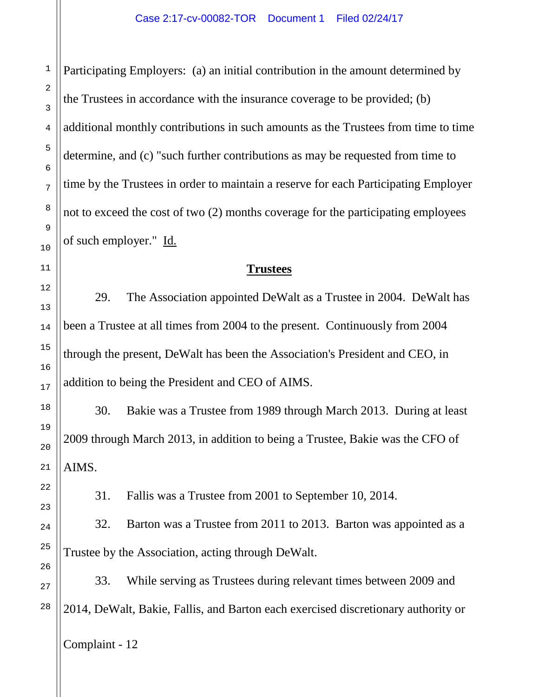Participating Employers: (a) an initial contribution in the amount determined by the Trustees in accordance with the insurance coverage to be provided; (b) additional monthly contributions in such amounts as the Trustees from time to time determine, and (c) "such further contributions as may be requested from time to time by the Trustees in order to maintain a reserve for each Participating Employer not to exceed the cost of two (2) months coverage for the participating employees of such employer." Id.

#### **Trustees**

29. The Association appointed DeWalt as a Trustee in 2004. DeWalt has been a Trustee at all times from 2004 to the present. Continuously from 2004 through the present, DeWalt has been the Association's President and CEO, in addition to being the President and CEO of AIMS.

30. Bakie was a Trustee from 1989 through March 2013. During at least 2009 through March 2013, in addition to being a Trustee, Bakie was the CFO of AIMS.

31. Fallis was a Trustee from 2001 to September 10, 2014.

32. Barton was a Trustee from 2011 to 2013. Barton was appointed as a Trustee by the Association, acting through DeWalt.

33. While serving as Trustees during relevant times between 2009 and 2014, DeWalt, Bakie, Fallis, and Barton each exercised discretionary authority or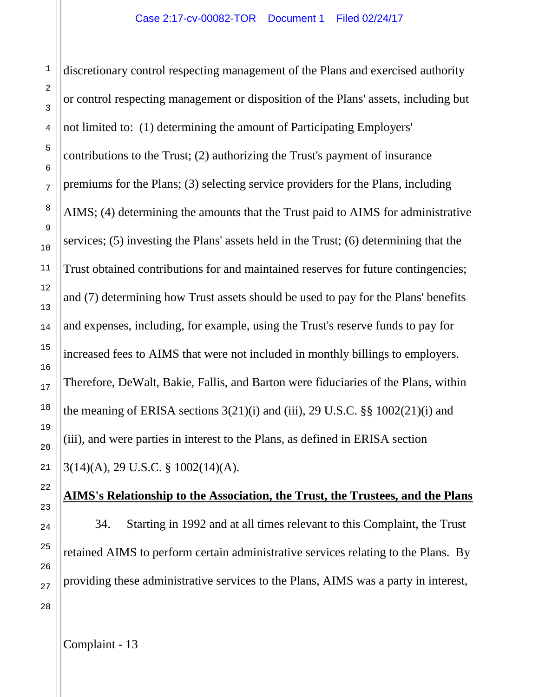discretionary control respecting management of the Plans and exercised authority or control respecting management or disposition of the Plans' assets, including but not limited to: (1) determining the amount of Participating Employers' contributions to the Trust; (2) authorizing the Trust's payment of insurance premiums for the Plans; (3) selecting service providers for the Plans, including AIMS; (4) determining the amounts that the Trust paid to AIMS for administrative services; (5) investing the Plans' assets held in the Trust; (6) determining that the Trust obtained contributions for and maintained reserves for future contingencies; and (7) determining how Trust assets should be used to pay for the Plans' benefits and expenses, including, for example, using the Trust's reserve funds to pay for increased fees to AIMS that were not included in monthly billings to employers. Therefore, DeWalt, Bakie, Fallis, and Barton were fiduciaries of the Plans, within the meaning of ERISA sections  $3(21)(i)$  and (iii), 29 U.S.C. §§  $1002(21)(i)$  and (iii), and were parties in interest to the Plans, as defined in ERISA section 3(14)(A), 29 U.S.C. § 1002(14)(A).

# **AIMS's Relationship to the Association, the Trust, the Trustees, and the Plans**

34. Starting in 1992 and at all times relevant to this Complaint, the Trust retained AIMS to perform certain administrative services relating to the Plans. By providing these administrative services to the Plans, AIMS was a party in interest,

1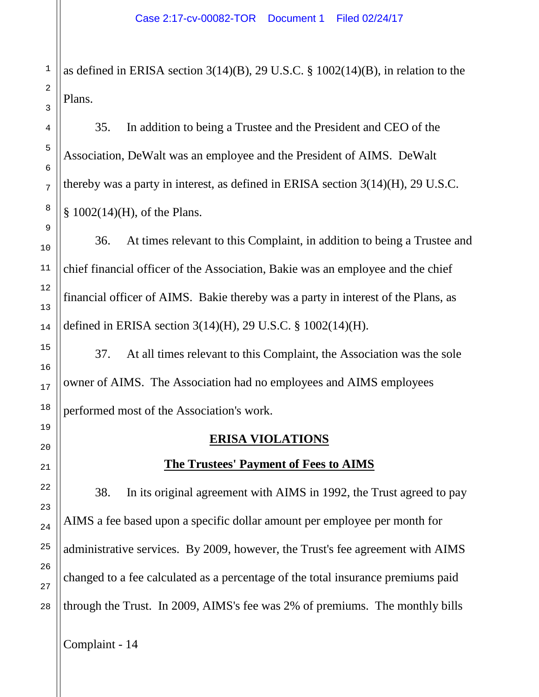as defined in ERISA section 3(14)(B), 29 U.S.C. § 1002(14)(B), in relation to the Plans.

35. In addition to being a Trustee and the President and CEO of the Association, DeWalt was an employee and the President of AIMS. DeWalt thereby was a party in interest, as defined in ERISA section 3(14)(H), 29 U.S.C. § 1002(14)(H), of the Plans.

36. At times relevant to this Complaint, in addition to being a Trustee and chief financial officer of the Association, Bakie was an employee and the chief financial officer of AIMS. Bakie thereby was a party in interest of the Plans, as defined in ERISA section 3(14)(H), 29 U.S.C. § 1002(14)(H).

37. At all times relevant to this Complaint, the Association was the sole owner of AIMS. The Association had no employees and AIMS employees performed most of the Association's work.

## **ERISA VIOLATIONS**

# **The Trustees' Payment of Fees to AIMS**

38. In its original agreement with AIMS in 1992, the Trust agreed to pay AIMS a fee based upon a specific dollar amount per employee per month for administrative services. By 2009, however, the Trust's fee agreement with AIMS changed to a fee calculated as a percentage of the total insurance premiums paid through the Trust. In 2009, AIMS's fee was 2% of premiums. The monthly bills

Complaint - 14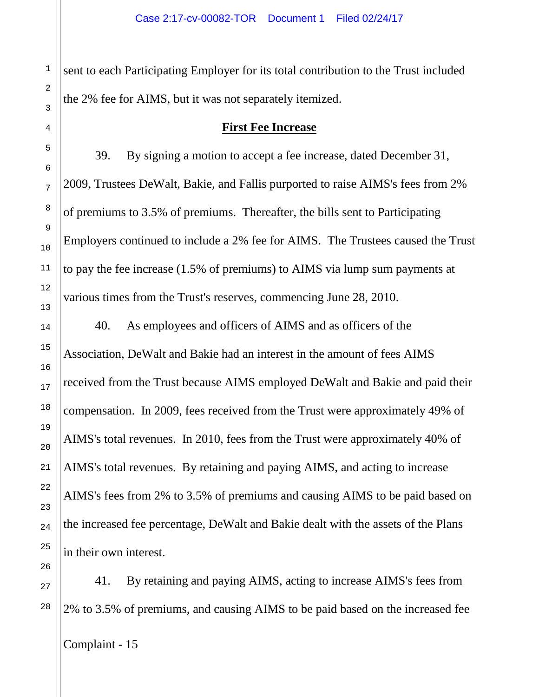sent to each Participating Employer for its total contribution to the Trust included the 2% fee for AIMS, but it was not separately itemized.

#### **First Fee Increase**

39. By signing a motion to accept a fee increase, dated December 31, 2009, Trustees DeWalt, Bakie, and Fallis purported to raise AIMS's fees from 2% of premiums to 3.5% of premiums. Thereafter, the bills sent to Participating Employers continued to include a 2% fee for AIMS. The Trustees caused the Trust to pay the fee increase (1.5% of premiums) to AIMS via lump sum payments at various times from the Trust's reserves, commencing June 28, 2010.

40. As employees and officers of AIMS and as officers of the Association, DeWalt and Bakie had an interest in the amount of fees AIMS received from the Trust because AIMS employed DeWalt and Bakie and paid their compensation. In 2009, fees received from the Trust were approximately 49% of AIMS's total revenues. In 2010, fees from the Trust were approximately 40% of AIMS's total revenues. By retaining and paying AIMS, and acting to increase AIMS's fees from 2% to 3.5% of premiums and causing AIMS to be paid based on the increased fee percentage, DeWalt and Bakie dealt with the assets of the Plans in their own interest.

26 27

41. By retaining and paying AIMS, acting to increase AIMS's fees from 2% to 3.5% of premiums, and causing AIMS to be paid based on the increased fee

Complaint - 15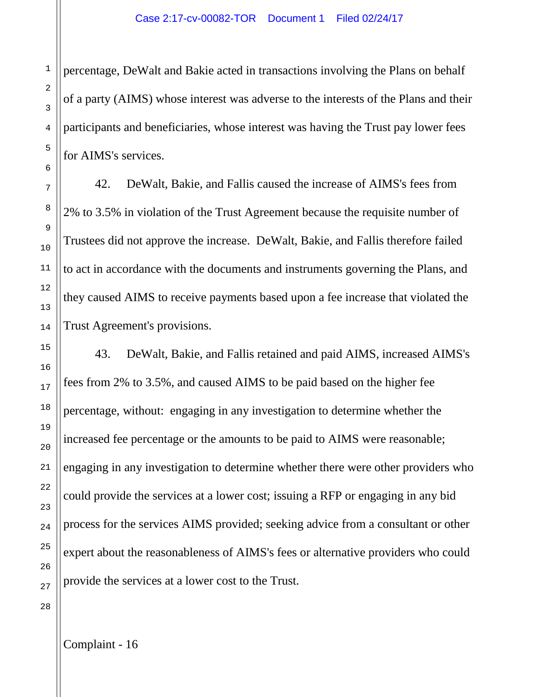percentage, DeWalt and Bakie acted in transactions involving the Plans on behalf of a party (AIMS) whose interest was adverse to the interests of the Plans and their participants and beneficiaries, whose interest was having the Trust pay lower fees for AIMS's services.

42. DeWalt, Bakie, and Fallis caused the increase of AIMS's fees from 2% to 3.5% in violation of the Trust Agreement because the requisite number of Trustees did not approve the increase. DeWalt, Bakie, and Fallis therefore failed to act in accordance with the documents and instruments governing the Plans, and they caused AIMS to receive payments based upon a fee increase that violated the Trust Agreement's provisions.

43. DeWalt, Bakie, and Fallis retained and paid AIMS, increased AIMS's fees from 2% to 3.5%, and caused AIMS to be paid based on the higher fee percentage, without: engaging in any investigation to determine whether the increased fee percentage or the amounts to be paid to AIMS were reasonable; engaging in any investigation to determine whether there were other providers who could provide the services at a lower cost; issuing a RFP or engaging in any bid process for the services AIMS provided; seeking advice from a consultant or other expert about the reasonableness of AIMS's fees or alternative providers who could provide the services at a lower cost to the Trust.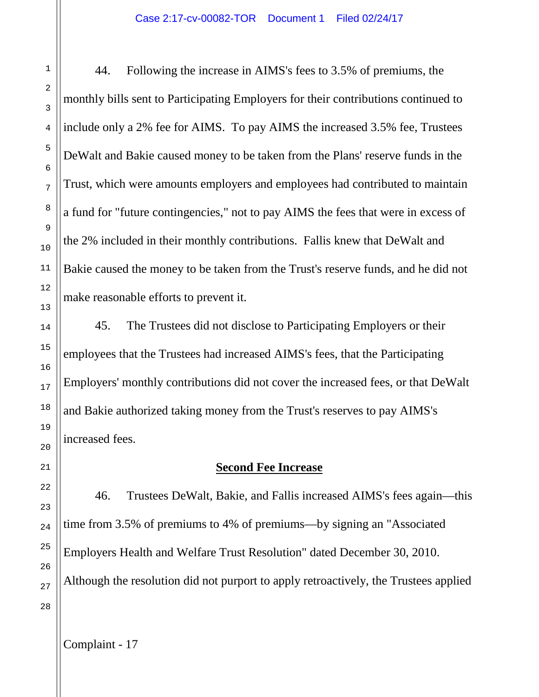44. Following the increase in AIMS's fees to 3.5% of premiums, the monthly bills sent to Participating Employers for their contributions continued to include only a 2% fee for AIMS. To pay AIMS the increased 3.5% fee, Trustees DeWalt and Bakie caused money to be taken from the Plans' reserve funds in the Trust, which were amounts employers and employees had contributed to maintain a fund for "future contingencies," not to pay AIMS the fees that were in excess of the 2% included in their monthly contributions. Fallis knew that DeWalt and Bakie caused the money to be taken from the Trust's reserve funds, and he did not make reasonable efforts to prevent it.

45. The Trustees did not disclose to Participating Employers or their employees that the Trustees had increased AIMS's fees, that the Participating Employers' monthly contributions did not cover the increased fees, or that DeWalt and Bakie authorized taking money from the Trust's reserves to pay AIMS's increased fees.

#### **Second Fee Increase**

46. Trustees DeWalt, Bakie, and Fallis increased AIMS's fees again—this time from 3.5% of premiums to 4% of premiums—by signing an "Associated Employers Health and Welfare Trust Resolution" dated December 30, 2010. Although the resolution did not purport to apply retroactively, the Trustees applied

1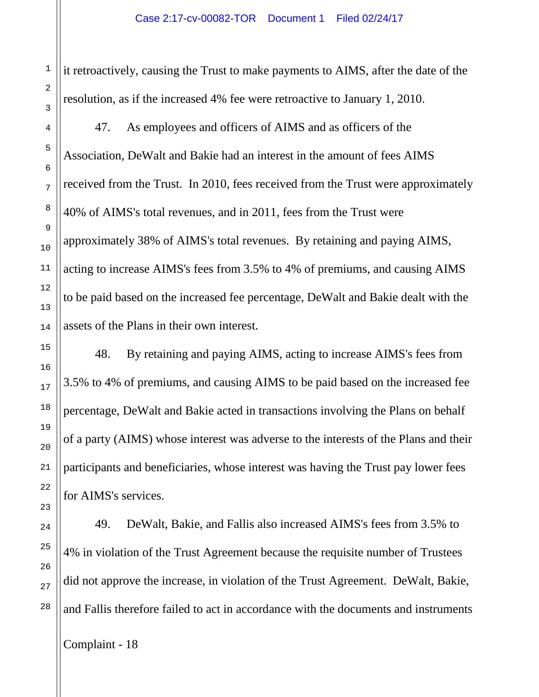it retroactively, causing the Trust to make payments to AIMS, after the date of the resolution, as if the increased 4% fee were retroactive to January 1, 2010.

47. As employees and officers of AIMS and as officers of the Association, DeWalt and Bakie had an interest in the amount of fees AIMS received from the Trust. In 2010, fees received from the Trust were approximately 40% of AIMS's total revenues, and in 2011, fees from the Trust were approximately 38% of AIMS's total revenues. By retaining and paying AIMS, acting to increase AIMS's fees from 3.5% to 4% of premiums, and causing AIMS to be paid based on the increased fee percentage, DeWalt and Bakie dealt with the assets of the Plans in their own interest.

48. By retaining and paying AIMS, acting to increase AIMS's fees from 3.5% to 4% of premiums, and causing AIMS to be paid based on the increased fee percentage, DeWalt and Bakie acted in transactions involving the Plans on behalf of a party (AIMS) whose interest was adverse to the interests of the Plans and their participants and beneficiaries, whose interest was having the Trust pay lower fees for AIMS's services.

49. DeWalt, Bakie, and Fallis also increased AIMS's fees from 3.5% to 4% in violation of the Trust Agreement because the requisite number of Trustees did not approve the increase, in violation of the Trust Agreement. DeWalt, Bakie, and Fallis therefore failed to act in accordance with the documents and instruments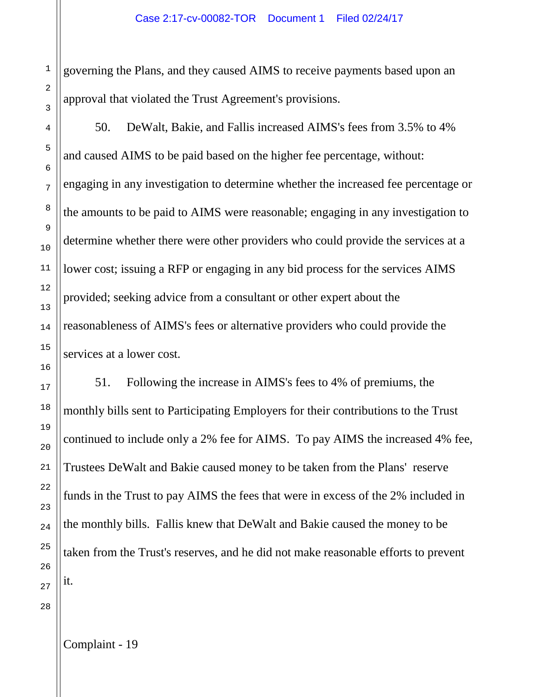governing the Plans, and they caused AIMS to receive payments based upon an approval that violated the Trust Agreement's provisions.

50. DeWalt, Bakie, and Fallis increased AIMS's fees from 3.5% to 4% and caused AIMS to be paid based on the higher fee percentage, without: engaging in any investigation to determine whether the increased fee percentage or the amounts to be paid to AIMS were reasonable; engaging in any investigation to determine whether there were other providers who could provide the services at a lower cost; issuing a RFP or engaging in any bid process for the services AIMS provided; seeking advice from a consultant or other expert about the reasonableness of AIMS's fees or alternative providers who could provide the services at a lower cost.

51. Following the increase in AIMS's fees to 4% of premiums, the monthly bills sent to Participating Employers for their contributions to the Trust continued to include only a 2% fee for AIMS. To pay AIMS the increased 4% fee, Trustees DeWalt and Bakie caused money to be taken from the Plans' reserve funds in the Trust to pay AIMS the fees that were in excess of the 2% included in the monthly bills. Fallis knew that DeWalt and Bakie caused the money to be taken from the Trust's reserves, and he did not make reasonable efforts to prevent it.

1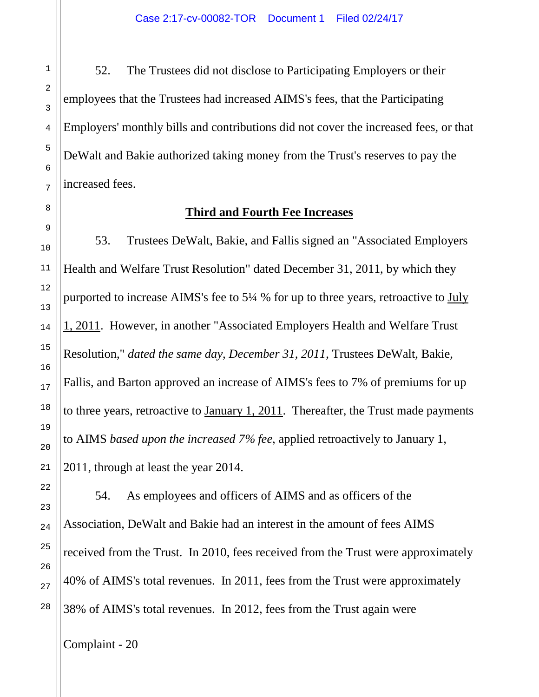52. The Trustees did not disclose to Participating Employers or their employees that the Trustees had increased AIMS's fees, that the Participating Employers' monthly bills and contributions did not cover the increased fees, or that DeWalt and Bakie authorized taking money from the Trust's reserves to pay the increased fees.

# **Third and Fourth Fee Increases**

53. Trustees DeWalt, Bakie, and Fallis signed an "Associated Employers Health and Welfare Trust Resolution" dated December 31, 2011, by which they purported to increase AIMS's fee to 5¼ % for up to three years, retroactive to July 1, 2011. However, in another "Associated Employers Health and Welfare Trust Resolution," *dated the same day, December 31, 2011*, Trustees DeWalt, Bakie, Fallis, and Barton approved an increase of AIMS's fees to 7% of premiums for up to three years, retroactive to January 1, 2011. Thereafter, the Trust made payments to AIMS *based upon the increased 7% fee*, applied retroactively to January 1, 2011, through at least the year 2014.

54. As employees and officers of AIMS and as officers of the Association, DeWalt and Bakie had an interest in the amount of fees AIMS received from the Trust. In 2010, fees received from the Trust were approximately 40% of AIMS's total revenues. In 2011, fees from the Trust were approximately 38% of AIMS's total revenues. In 2012, fees from the Trust again were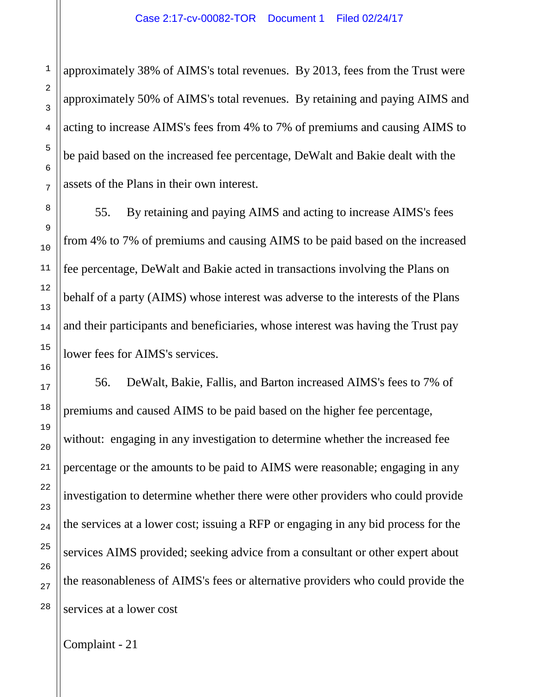approximately 38% of AIMS's total revenues. By 2013, fees from the Trust were approximately 50% of AIMS's total revenues. By retaining and paying AIMS and acting to increase AIMS's fees from 4% to 7% of premiums and causing AIMS to be paid based on the increased fee percentage, DeWalt and Bakie dealt with the assets of the Plans in their own interest.

55. By retaining and paying AIMS and acting to increase AIMS's fees from 4% to 7% of premiums and causing AIMS to be paid based on the increased fee percentage, DeWalt and Bakie acted in transactions involving the Plans on behalf of a party (AIMS) whose interest was adverse to the interests of the Plans and their participants and beneficiaries, whose interest was having the Trust pay lower fees for AIMS's services.

56. DeWalt, Bakie, Fallis, and Barton increased AIMS's fees to 7% of premiums and caused AIMS to be paid based on the higher fee percentage, without: engaging in any investigation to determine whether the increased fee percentage or the amounts to be paid to AIMS were reasonable; engaging in any investigation to determine whether there were other providers who could provide the services at a lower cost; issuing a RFP or engaging in any bid process for the services AIMS provided; seeking advice from a consultant or other expert about the reasonableness of AIMS's fees or alternative providers who could provide the services at a lower cost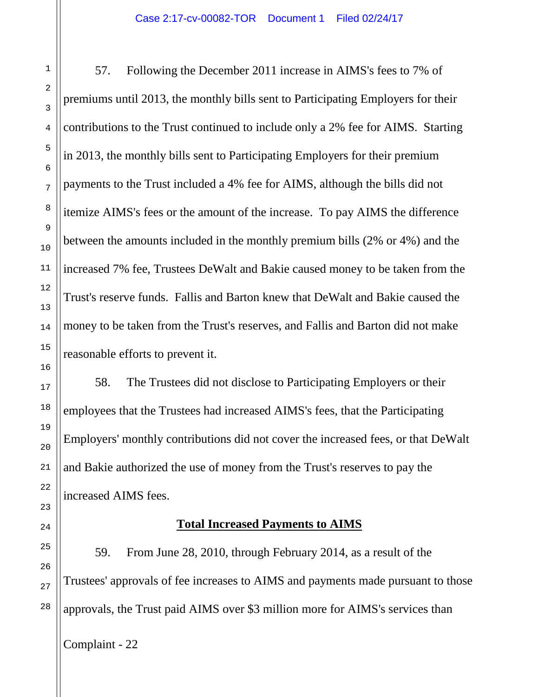57. Following the December 2011 increase in AIMS's fees to 7% of premiums until 2013, the monthly bills sent to Participating Employers for their contributions to the Trust continued to include only a 2% fee for AIMS. Starting in 2013, the monthly bills sent to Participating Employers for their premium payments to the Trust included a 4% fee for AIMS, although the bills did not itemize AIMS's fees or the amount of the increase. To pay AIMS the difference between the amounts included in the monthly premium bills (2% or 4%) and the increased 7% fee, Trustees DeWalt and Bakie caused money to be taken from the Trust's reserve funds. Fallis and Barton knew that DeWalt and Bakie caused the money to be taken from the Trust's reserves, and Fallis and Barton did not make reasonable efforts to prevent it.

58. The Trustees did not disclose to Participating Employers or their employees that the Trustees had increased AIMS's fees, that the Participating Employers' monthly contributions did not cover the increased fees, or that DeWalt and Bakie authorized the use of money from the Trust's reserves to pay the increased AIMS fees.

## **Total Increased Payments to AIMS**

59. From June 28, 2010, through February 2014, as a result of the Trustees' approvals of fee increases to AIMS and payments made pursuant to those approvals, the Trust paid AIMS over \$3 million more for AIMS's services than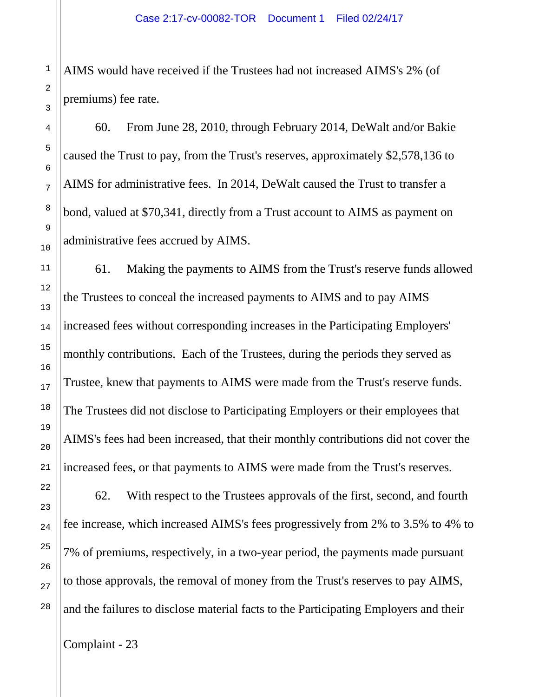AIMS would have received if the Trustees had not increased AIMS's 2% (of premiums) fee rate.

60. From June 28, 2010, through February 2014, DeWalt and/or Bakie caused the Trust to pay, from the Trust's reserves, approximately \$2,578,136 to AIMS for administrative fees. In 2014, DeWalt caused the Trust to transfer a bond, valued at \$70,341, directly from a Trust account to AIMS as payment on administrative fees accrued by AIMS.

61. Making the payments to AIMS from the Trust's reserve funds allowed the Trustees to conceal the increased payments to AIMS and to pay AIMS increased fees without corresponding increases in the Participating Employers' monthly contributions. Each of the Trustees, during the periods they served as Trustee, knew that payments to AIMS were made from the Trust's reserve funds. The Trustees did not disclose to Participating Employers or their employees that AIMS's fees had been increased, that their monthly contributions did not cover the increased fees, or that payments to AIMS were made from the Trust's reserves.

62. With respect to the Trustees approvals of the first, second, and fourth fee increase, which increased AIMS's fees progressively from 2% to 3.5% to 4% to 7% of premiums, respectively, in a two-year period, the payments made pursuant to those approvals, the removal of money from the Trust's reserves to pay AIMS, and the failures to disclose material facts to the Participating Employers and their

Complaint - 23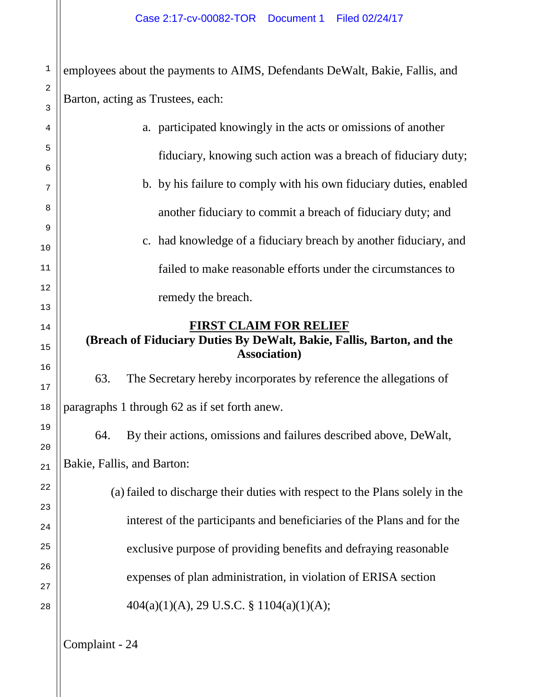2 employees about the payments to AIMS, Defendants DeWalt, Bakie, Fallis, and Barton, acting as Trustees, each:

|                         | a. participated knowingly in the acts or omissions of another                                 |  |  |
|-------------------------|-----------------------------------------------------------------------------------------------|--|--|
|                         | fiduciary, knowing such action was a breach of fiduciary duty;                                |  |  |
|                         | b. by his failure to comply with his own fiduciary duties, enabled                            |  |  |
|                         | another fiduciary to commit a breach of fiduciary duty; and                                   |  |  |
|                         | c. had knowledge of a fiduciary breach by another fiduciary, and                              |  |  |
|                         | failed to make reasonable efforts under the circumstances to                                  |  |  |
| $\overline{\mathbf{r}}$ | remedy the breach.                                                                            |  |  |
|                         | FIRST CLAIM FOR RELIEF                                                                        |  |  |
|                         | (Breach of Fiduciary Duties By DeWalt, Bakie, Fallis, Barton, and the<br><b>Association</b> ) |  |  |
|                         | 63.<br>The Secretary hereby incorporates by reference the allegations of                      |  |  |
|                         | paragraphs 1 through 62 as if set forth anew.                                                 |  |  |
|                         | By their actions, omissions and failures described above, DeWalt,<br>64.                      |  |  |
|                         | Bakie, Fallis, and Barton:                                                                    |  |  |
|                         | (a) failed to discharge their duties with respect to the Plans solely in the                  |  |  |
|                         | interest of the participants and beneficiaries of the Plans and for the                       |  |  |
|                         | exclusive purpose of providing benefits and defraying reasonable                              |  |  |
| 5                       | expenses of plan administration, in violation of ERISA section                                |  |  |
|                         | $404(a)(1)(A)$ , 29 U.S.C. § 1104(a)(1)(A);                                                   |  |  |
|                         |                                                                                               |  |  |

1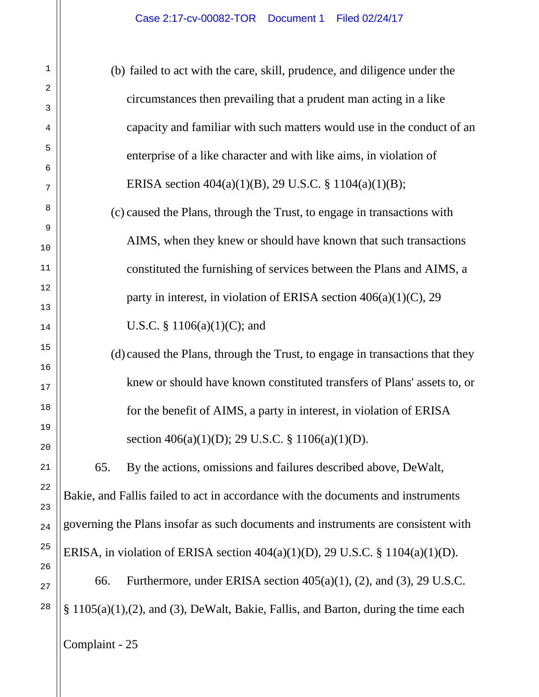(b) failed to act with the care, skill, prudence, and diligence under the circumstances then prevailing that a prudent man acting in a like capacity and familiar with such matters would use in the conduct of an enterprise of a like character and with like aims, in violation of ERISA section 404(a)(1)(B), 29 U.S.C. § 1104(a)(1)(B); (c) caused the Plans, through the Trust, to engage in transactions with AIMS, when they knew or should have known that such transactions constituted the furnishing of services between the Plans and AIMS, a party in interest, in violation of ERISA section 406(a)(1)(C), 29 U.S.C. § 1106(a)(1)(C); and (d)caused the Plans, through the Trust, to engage in transactions that they knew or should have known constituted transfers of Plans' assets to, or for the benefit of AIMS, a party in interest, in violation of ERISA section 406(a)(1)(D); 29 U.S.C. § 1106(a)(1)(D). 65. By the actions, omissions and failures described above, DeWalt, Bakie, and Fallis failed to act in accordance with the documents and instruments governing the Plans insofar as such documents and instruments are consistent with ERISA, in violation of ERISA section 404(a)(1)(D), 29 U.S.C. § 1104(a)(1)(D). 66. Furthermore, under ERISA section 405(a)(1), (2), and (3), 29 U.S.C. § 1105(a)(1),(2), and (3), DeWalt, Bakie, Fallis, and Barton, during the time each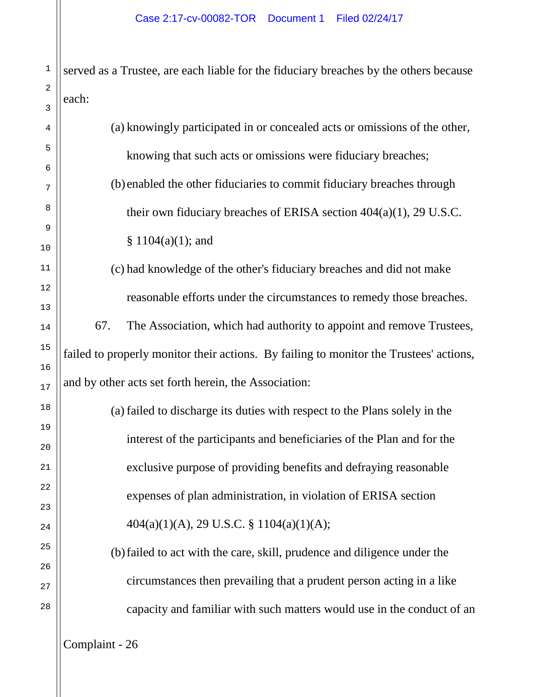served as a Trustee, are each liable for the fiduciary breaches by the others because each:

|                                                                      | (a) knowingly participated in or concealed acts or omissions of the other,             |  |  |  |
|----------------------------------------------------------------------|----------------------------------------------------------------------------------------|--|--|--|
|                                                                      | knowing that such acts or omissions were fiduciary breaches;                           |  |  |  |
|                                                                      | (b) enabled the other fiduciaries to commit fiduciary breaches through                 |  |  |  |
|                                                                      | their own fiduciary breaches of ERISA section $404(a)(1)$ , 29 U.S.C.                  |  |  |  |
|                                                                      | $§ 1104(a)(1);$ and                                                                    |  |  |  |
| (c) had knowledge of the other's fiduciary breaches and did not make |                                                                                        |  |  |  |
|                                                                      | reasonable efforts under the circumstances to remedy those breaches.                   |  |  |  |
|                                                                      | 67.<br>The Association, which had authority to appoint and remove Trustees,            |  |  |  |
|                                                                      | failed to properly monitor their actions. By failing to monitor the Trustees' actions, |  |  |  |
|                                                                      | and by other acts set forth herein, the Association:                                   |  |  |  |
|                                                                      | (a) failed to discharge its duties with respect to the Plans solely in the             |  |  |  |
|                                                                      | interest of the participants and beneficiaries of the Plan and for the                 |  |  |  |
|                                                                      | exclusive purpose of providing benefits and defraying reasonable                       |  |  |  |
|                                                                      | expenses of plan administration, in violation of ERISA section                         |  |  |  |
|                                                                      | $404(a)(1)(A)$ , 29 U.S.C. § 1104(a)(1)(A);                                            |  |  |  |
|                                                                      | (b) failed to act with the care, skill, prudence and diligence under the               |  |  |  |
|                                                                      | circumstances then prevailing that a prudent person acting in a like                   |  |  |  |
|                                                                      | capacity and familiar with such matters would use in the conduct of an                 |  |  |  |
|                                                                      |                                                                                        |  |  |  |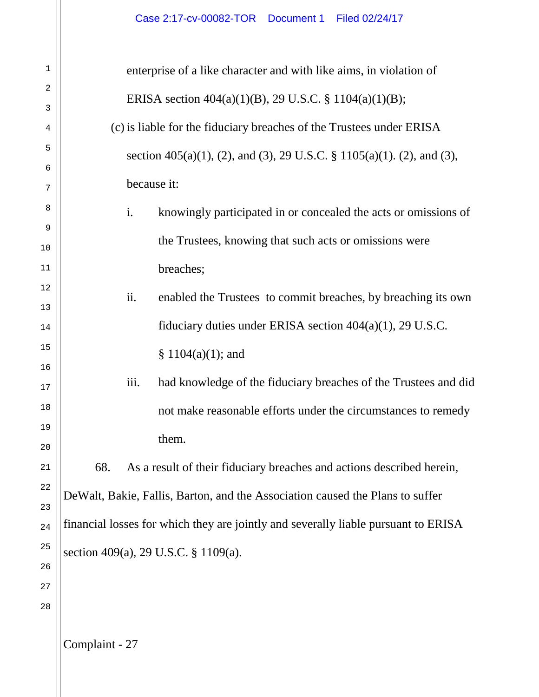| 1        | enterprise of a like character and with like aims, in violation of                 |                |                                                                       |
|----------|------------------------------------------------------------------------------------|----------------|-----------------------------------------------------------------------|
| 2        | ERISA section $404(a)(1)(B)$ , 29 U.S.C. § 1104(a)(1)(B);                          |                |                                                                       |
| 3        |                                                                                    |                |                                                                       |
| 4        | (c) is liable for the fiduciary breaches of the Trustees under ERISA               |                |                                                                       |
| 5        | section 405(a)(1), (2), and (3), 29 U.S.C. § 1105(a)(1). (2), and (3),             |                |                                                                       |
| 6<br>7   | because it:                                                                        |                |                                                                       |
|          |                                                                                    |                |                                                                       |
| 8        |                                                                                    | $\mathbf{i}$ . | knowingly participated in or concealed the acts or omissions of       |
| 9<br>10  |                                                                                    |                | the Trustees, knowing that such acts or omissions were                |
| 11       |                                                                                    |                | breaches;                                                             |
| 12       |                                                                                    |                |                                                                       |
| 13       |                                                                                    | ii.            | enabled the Trustees to commit breaches, by breaching its own         |
| 14       |                                                                                    |                | fiduciary duties under ERISA section $404(a)(1)$ , 29 U.S.C.          |
| 15       |                                                                                    |                | $§ 1104(a)(1);$ and                                                   |
| 16<br>17 |                                                                                    | iii.           | had knowledge of the fiduciary breaches of the Trustees and did       |
| 18       |                                                                                    |                | not make reasonable efforts under the circumstances to remedy         |
| 19       |                                                                                    |                |                                                                       |
| 20       |                                                                                    |                | them.                                                                 |
| 21       | 68.                                                                                |                | As a result of their fiduciary breaches and actions described herein, |
| 22       |                                                                                    |                |                                                                       |
| 23       | DeWalt, Bakie, Fallis, Barton, and the Association caused the Plans to suffer      |                |                                                                       |
| 24       | financial losses for which they are jointly and severally liable pursuant to ERISA |                |                                                                       |
| 25       | section 409(a), 29 U.S.C. § 1109(a).                                               |                |                                                                       |
| 26       |                                                                                    |                |                                                                       |
| 27       |                                                                                    |                |                                                                       |
| 28       |                                                                                    |                |                                                                       |
|          |                                                                                    |                |                                                                       |
|          | Complaint - 27                                                                     |                |                                                                       |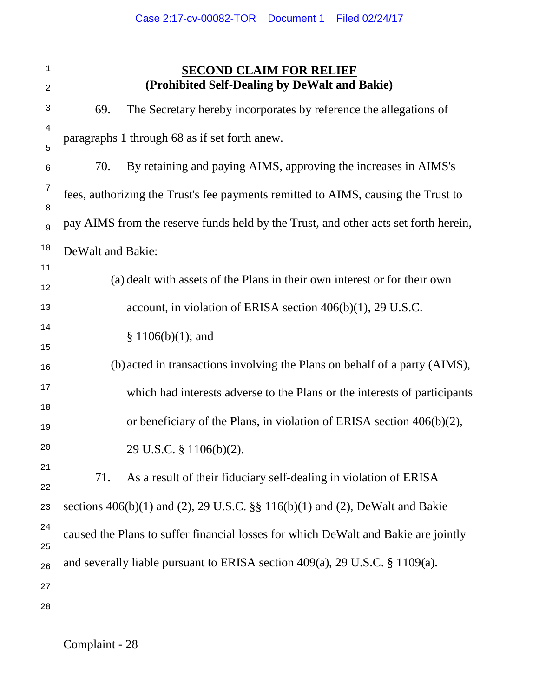# **SECOND CLAIM FOR RELIEF (Prohibited Self-Dealing by DeWalt and Bakie)**

69. The Secretary hereby incorporates by reference the allegations of paragraphs 1 through 68 as if set forth anew. 70. By retaining and paying AIMS, approving the increases in AIMS's fees, authorizing the Trust's fee payments remitted to AIMS, causing the Trust to pay AIMS from the reserve funds held by the Trust, and other acts set forth herein, DeWalt and Bakie: (a) dealt with assets of the Plans in their own interest or for their own account, in violation of ERISA section 406(b)(1), 29 U.S.C. § 1106(b)(1); and (b)acted in transactions involving the Plans on behalf of a party (AIMS), which had interests adverse to the Plans or the interests of participants or beneficiary of the Plans, in violation of ERISA section 406(b)(2), 29 U.S.C. § 1106(b)(2). 71. As a result of their fiduciary self-dealing in violation of ERISA sections 406(b)(1) and (2), 29 U.S.C. §§ 116(b)(1) and (2), DeWalt and Bakie caused the Plans to suffer financial losses for which DeWalt and Bakie are jointly and severally liable pursuant to ERISA section 409(a), 29 U.S.C. § 1109(a).

Complaint - 28

1

2

3

4

5

6

7

8

9

10

11

12

13

14

15

16

17

18

19

20

21

22

23

24

25

26

27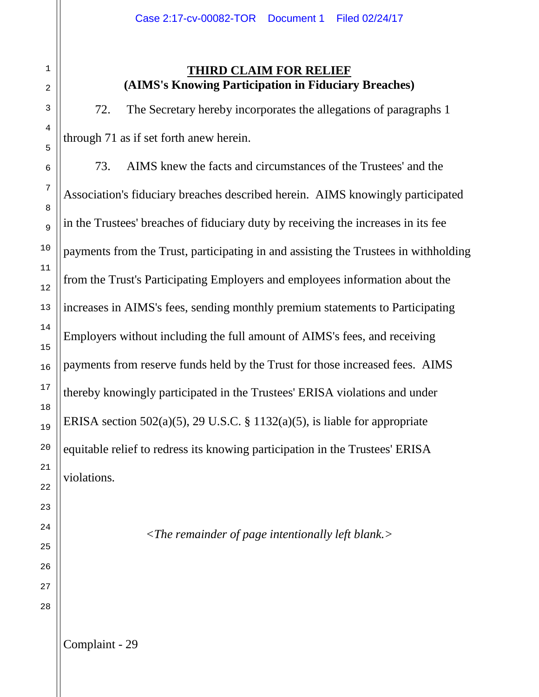## **THIRD CLAIM FOR RELIEF (AIMS's Knowing Participation in Fiduciary Breaches)**

72. The Secretary hereby incorporates the allegations of paragraphs 1 through 71 as if set forth anew herein.

73. AIMS knew the facts and circumstances of the Trustees' and the Association's fiduciary breaches described herein. AIMS knowingly participated in the Trustees' breaches of fiduciary duty by receiving the increases in its fee payments from the Trust, participating in and assisting the Trustees in withholding from the Trust's Participating Employers and employees information about the increases in AIMS's fees, sending monthly premium statements to Participating Employers without including the full amount of AIMS's fees, and receiving payments from reserve funds held by the Trust for those increased fees. AIMS thereby knowingly participated in the Trustees' ERISA violations and under ERISA section 502(a)(5), 29 U.S.C.  $\S$  1132(a)(5), is liable for appropriate equitable relief to redress its knowing participation in the Trustees' ERISA violations.

*<The remainder of page intentionally left blank.>*

1

2

3

4

5

6

7

8

9

10

11

12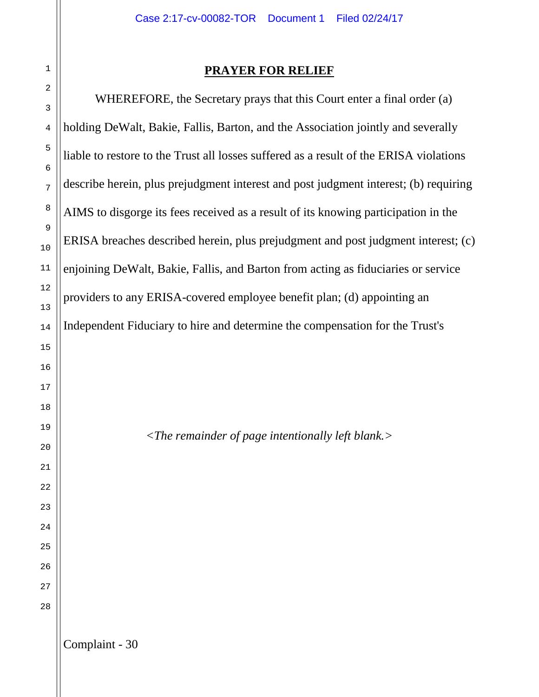#### **PRAYER FOR RELIEF**

WHEREFORE, the Secretary prays that this Court enter a final order (a) holding DeWalt, Bakie, Fallis, Barton, and the Association jointly and severally liable to restore to the Trust all losses suffered as a result of the ERISA violations describe herein, plus prejudgment interest and post judgment interest; (b) requiring AIMS to disgorge its fees received as a result of its knowing participation in the ERISA breaches described herein, plus prejudgment and post judgment interest; (c) enjoining DeWalt, Bakie, Fallis, and Barton from acting as fiduciaries or service providers to any ERISA-covered employee benefit plan; (d) appointing an Independent Fiduciary to hire and determine the compensation for the Trust's

*<The remainder of page intentionally left blank.>*